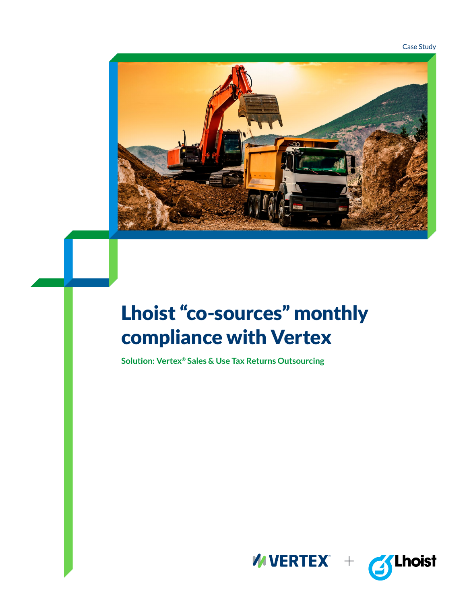Case Study



# Lhoist "co-sources" monthly compliance with Vertex

**Solution: Vertex® Sales & Use Tax Returns Outsourcing**



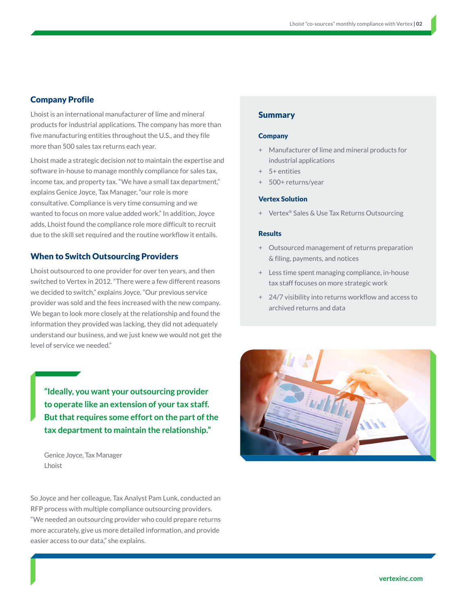# Company Profile

Lhoist is an international manufacturer of lime and mineral products for industrial applications. The company has more than five manufacturing entities throughout the U.S., and they file more than 500 sales tax returns each year.

Lhoist made a strategic decision *not* to maintain the expertise and software in-house to manage monthly compliance for sales tax, income tax, and property tax. "We have a small tax department," explains Genice Joyce, Tax Manager, "our role is more consultative. Compliance is very time consuming and we wanted to focus on more value added work." In addition, Joyce adds, Lhoist found the compliance role more difficult to recruit due to the skill set required and the routine workflow it entails.

## When to Switch Outsourcing Providers

Lhoist outsourced to one provider for over ten years, and then switched to Vertex in 2012. "There were a few different reasons we decided to switch," explains Joyce. "Our previous service provider was sold and the fees increased with the new company. We began to look more closely at the relationship and found the information they provided was lacking, they did not adequately understand our business, and we just knew we would not get the level of service we needed."

**"Ideally, you want your outsourcing provider to operate like an extension of your tax staff. But that requires some effort on the part of the tax department to maintain the relationship."**

Genice Joyce, Tax Manager Lhoist

So Joyce and her colleague, Tax Analyst Pam Lunk, conducted an RFP process with multiple compliance outsourcing providers. "We needed an outsourcing provider who could prepare returns more accurately, give us more detailed information, and provide easier access to our data," she explains.

## Summary

#### **Company**

- + Manufacturer of lime and mineral products for industrial applications
- + 5+ entities
- 500+ returns/year

#### Vertex Solution

+ Vertex® Sales & Use Tax Returns Outsourcing

#### **Results**

- + Outsourced management of returns preparation & filing, payments, and notices
- + Less time spent managing compliance, in-house tax staff focuses on more strategic work
- + 24/7 visibility into returns workflow and access to archived returns and data

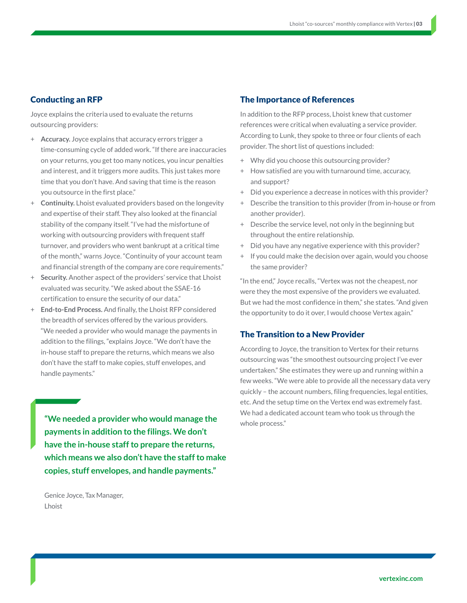# Conducting an RFP

Joyce explains the criteria used to evaluate the returns outsourcing providers:

- + **Accuracy.** Joyce explains that accuracy errors trigger a time-consuming cycle of added work. "If there are inaccuracies on your returns, you get too many notices, you incur penalties and interest, and it triggers more audits. This just takes more time that you don't have. And saving that time is the reason you outsource in the first place."
- + **Continuity.** Lhoist evaluated providers based on the longevity and expertise of their staff. They also looked at the financial stability of the company itself. "I've had the misfortune of working with outsourcing providers with frequent staff turnover, and providers who went bankrupt at a critical time of the month," warns Joyce. "Continuity of your account team and financial strength of the company are core requirements."
- + **Security.** Another aspect of the providers' service that Lhoist evaluated was security. "We asked about the SSAE-16 certification to ensure the security of our data."
- + **End-to-End Process.** And finally, the Lhoist RFP considered the breadth of services offered by the various providers. "We needed a provider who would manage the payments in addition to the filings, "explains Joyce. "We don't have the in-house staff to prepare the returns, which means we also don't have the staff to make copies, stuff envelopes, and handle payments."

**"We needed a provider who would manage the** we had a dedicate **payments in addition to the filings. We don't have the in-house staff to prepare the returns, which means we also don't have the staff to make copies, stuff envelopes, and handle payments."**

Genice Joyce, Tax Manager, Lhoist

## The Importance of References

In addition to the RFP process, Lhoist knew that customer references were critical when evaluating a service provider. According to Lunk, they spoke to three or four clients of each provider. The short list of questions included:

- + Why did you choose this outsourcing provider?
- + How satisfied are you with turnaround time, accuracy, and support?
- + Did you experience a decrease in notices with this provider?
- + Describe the transition to this provider (from in-house or from another provider).
- + Describe the service level, not only in the beginning but throughout the entire relationship.
- + Did you have any negative experience with this provider?
- + If you could make the decision over again, would you choose the same provider?

"In the end," Joyce recalls, "Vertex was not the cheapest, nor were they the most expensive of the providers we evaluated. But we had the most confidence in them," she states. "And given the opportunity to do it over, I would choose Vertex again."

## The Transition to a New Provider

According to Joyce, the transition to Vertex for their returns outsourcing was "the smoothest outsourcing project I've ever undertaken." She estimates they were up and running within a few weeks. "We were able to provide all the necessary data very quickly – the account numbers, filing frequencies, legal entities, etc. And the setup time on the Vertex end was extremely fast. We had a dedicated account team who took us through the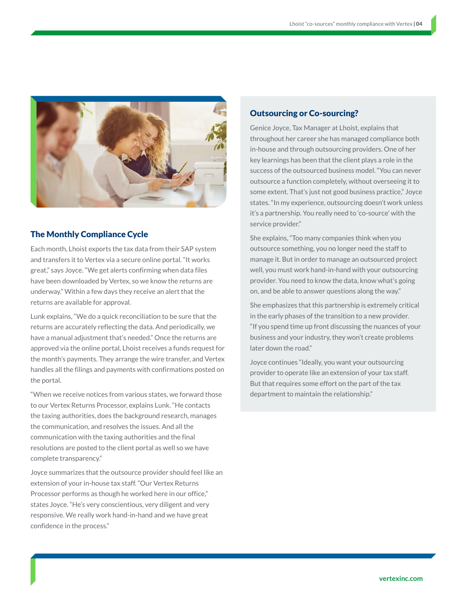

#### The Monthly Compliance Cycle

Each month, Lhoist exports the tax data from their SAP system and transfers it to Vertex via a secure online portal. "It works great," says Joyce. "We get alerts confirming when data files have been downloaded by Vertex, so we know the returns are underway." Within a few days they receive an alert that the returns are available for approval.

Lunk explains, "We do a quick reconciliation to be sure that the returns are accurately reflecting the data. And periodically, we have a manual adjustment that's needed." Once the returns are approved via the online portal, Lhoist receives a funds request for the month's payments. They arrange the wire transfer, and Vertex handles all the filings and payments with confirmations posted on the portal.

"When we receive notices from various states, we forward those to our Vertex Returns Processor, explains Lunk. "He contacts the taxing authorities, does the background research, manages the communication, and resolves the issues. And all the communication with the taxing authorities and the final resolutions are posted to the client portal as well so we have complete transparency."

Joyce summarizes that the outsource provider should feel like an extension of your in-house tax staff. "Our Vertex Returns Processor performs as though he worked here in our office," states Joyce. "He's very conscientious, very diligent and very responsive. We really work hand-in-hand and we have great confidence in the process."

## Outsourcing or Co-sourcing?

Genice Joyce, Tax Manager at Lhoist, explains that throughout her career she has managed compliance both in-house and through outsourcing providers. One of her key learnings has been that the client plays a role in the success of the outsourced business model. "You can never outsource a function completely, without overseeing it to some extent. That's just not good business practice," Joyce states. "In my experience, outsourcing doesn't work unless it's a partnership. You really need to 'co-source' with the service provider."

She explains, "Too many companies think when you outsource something, you no longer need the staff to manage it. But in order to manage an outsourced project well, you must work hand-in-hand with your outsourcing provider. You need to know the data, know what's going on, and be able to answer questions along the way."

She emphasizes that this partnership is extremely critical in the early phases of the transition to a new provider. "If you spend time up front discussing the nuances of your business and your industry, they won't create problems later down the road."

Joyce continues "Ideally, you want your outsourcing provider to operate like an extension of your tax staff. But that requires some effort on the part of the tax department to maintain the relationship."